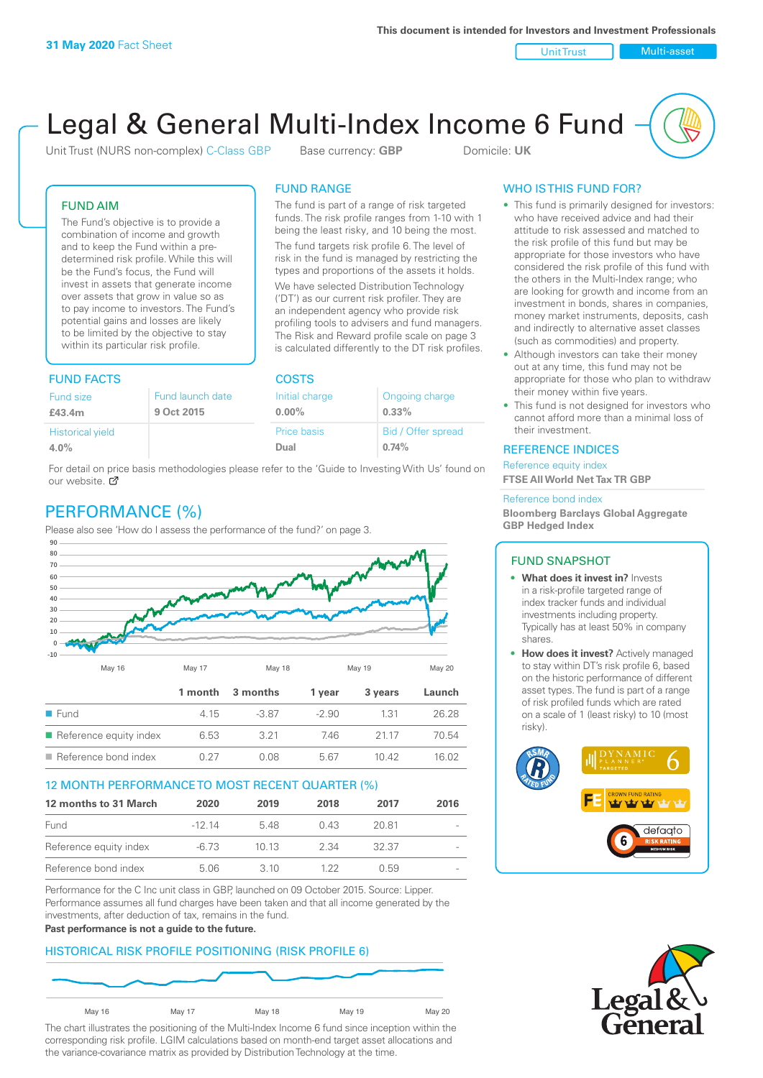Unit Trust Nulti-asset

# Legal & General Multi-Index Income 6 Fund

Unit Trust (NURS non-complex) C-Class GBP Base currency: **GBP** Domicile: UK

The fund is part of a range of risk targeted funds. The risk profile ranges from 1-10 with 1 being the least risky, and 10 being the most. The fund targets risk profile 6. The level of risk in the fund is managed by restricting the types and proportions of the assets it holds. We have selected Distribution Technology ('DT') as our current risk profiler. They are an independent agency who provide risk profiling tools to advisers and fund managers. The Risk and Reward profile scale on page 3 is calculated differently to the DT risk profiles.

FUND RANGE

ffer spread

## FUND AIM

The Fund's objective is to provide a combination of income and growth and to keep the Fund within a predetermined risk profile. While this will be the Fund's focus, the Fund will invest in assets that generate income over assets that grow in value so as to pay income to investors. The Fund's potential gains and losses are likely to be limited by the objective to stay within its particular risk profile.

## FUND FACTS COSTS

| Fund size<br>£43.4m     | Fund launch date<br>9 Oct 2015 | Initial charge<br>$0.00\%$ | Ongoing charge<br>0.33% |  |
|-------------------------|--------------------------------|----------------------------|-------------------------|--|
| <b>Historical yield</b> |                                | Price basis                | Bid / Offer sprea       |  |
| 4.0%                    |                                | Dual                       | 0.74%                   |  |
|                         |                                |                            |                         |  |

For detail on price basis methodologies please refer to the 'Guide to Investing With Us' found on our website.  $\sigma$ 

# PERFORMANCE (%)

Please also see 'How do I assess the performance of the fund?' on page 3.



#### 12 MONTH PERFORMANCE TO MOST RECENT QUARTER (%)

| 12 months to 31 March  | 2020    | 2019  | 2018 | 2017  | 2016                     |
|------------------------|---------|-------|------|-------|--------------------------|
| Fund                   | $-1214$ | 548   | 0.43 | 20.81 |                          |
| Reference equity index | $-6.73$ | 1013  | 2.34 | 32.37 | $\sim$                   |
| Reference bond index   | 5.06    | 3. IO | 1 22 | O 59  | $\overline{\phantom{a}}$ |

Performance for the C Inc unit class in GBP, launched on 09 October 2015. Source: Lipper. Performance assumes all fund charges have been taken and that all income generated by the investments, after deduction of tax, remains in the fund.

#### **Past performance is not a guide to the future.**

#### HISTORICAL RISK PROFILE POSITIONING (RISK PROFILE 6)



The chart illustrates the positioning of the Multi-Index Income 6 fund since inception within the corresponding risk profile. LGIM calculations based on month-end target asset allocations and the variance-covariance matrix as provided by Distribution Technology at the time.

## WHO IS THIS FUND FOR?

- This fund is primarily designed for investors: who have received advice and had their attitude to risk assessed and matched to the risk profile of this fund but may be appropriate for those investors who have considered the risk profile of this fund with the others in the Multi-Index range; who are looking for growth and income from an investment in bonds, shares in companies, money market instruments, deposits, cash and indirectly to alternative asset classes (such as commodities) and property.
- Although investors can take their money out at any time, this fund may not be appropriate for those who plan to withdraw their money within five years.
- This fund is not designed for investors who cannot afford more than a minimal loss of their investment.

#### REFERENCE INDICES

Reference equity index **FTSE All World Net Tax TR GBP**

#### Reference bond index

**Bloomberg Barclays Global Aggregate GBP Hedged Index**

#### FUND SNAPSHOT

- **• What does it invest in?** Invests in a risk-profile targeted range of index tracker funds and individual investments including property. Typically has at least 50% in company shares.
- **• How does it invest?** Actively managed to stay within DT's risk profile 6, based on the historic performance of different asset types. The fund is part of a range of risk profiled funds which are rated on a scale of 1 (least risky) to 10 (most risky).



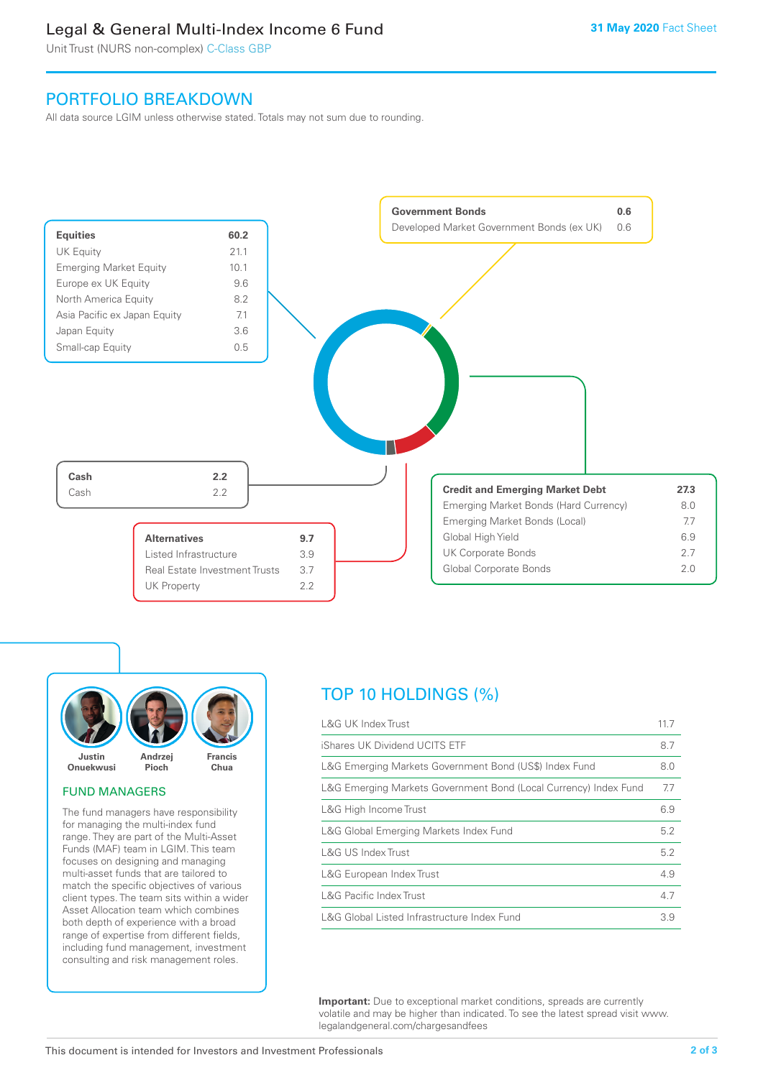# Legal & General Multi-Index Income 6 Fund

Unit Trust (NURS non-complex) C-Class GBP

# PORTFOLIO BREAKDOWN

All data source LGIM unless otherwise stated. Totals may not sum due to rounding.





#### FUND MANAGERS

The fund managers have responsibility for managing the multi-index fund range. They are part of the Multi-Asset Funds (MAF) team in LGIM. This team focuses on designing and managing multi-asset funds that are tailored to match the specific objectives of various client types. The team sits within a wider Asset Allocation team which combines both depth of experience with a broad range of expertise from different fields, including fund management, investment consulting and risk management roles.

# TOP 10 HOLDINGS (%)

| <b>L&amp;G UK Index Trust</b>                                    | 11.7 |
|------------------------------------------------------------------|------|
| iShares UK Dividend UCITS ETF                                    | 8.7  |
| L&G Emerging Markets Government Bond (US\$) Index Fund           | 8.0  |
| L&G Emerging Markets Government Bond (Local Currency) Index Fund | 7.7  |
| L&G High Income Trust                                            | 6.9  |
| L&G Global Emerging Markets Index Fund                           | 5.2  |
| L&G US Index Trust                                               | 5.2  |
| L&G European Index Trust                                         | 4.9  |
| <b>L&amp;G Pacific Index Trust</b>                               | 4.7  |
| L&G Global Listed Infrastructure Index Fund                      | 3.9  |

**Important:** Due to exceptional market conditions, spreads are currently volatile and may be higher than indicated. To see the latest spread visit www. legalandgeneral.com/chargesandfees